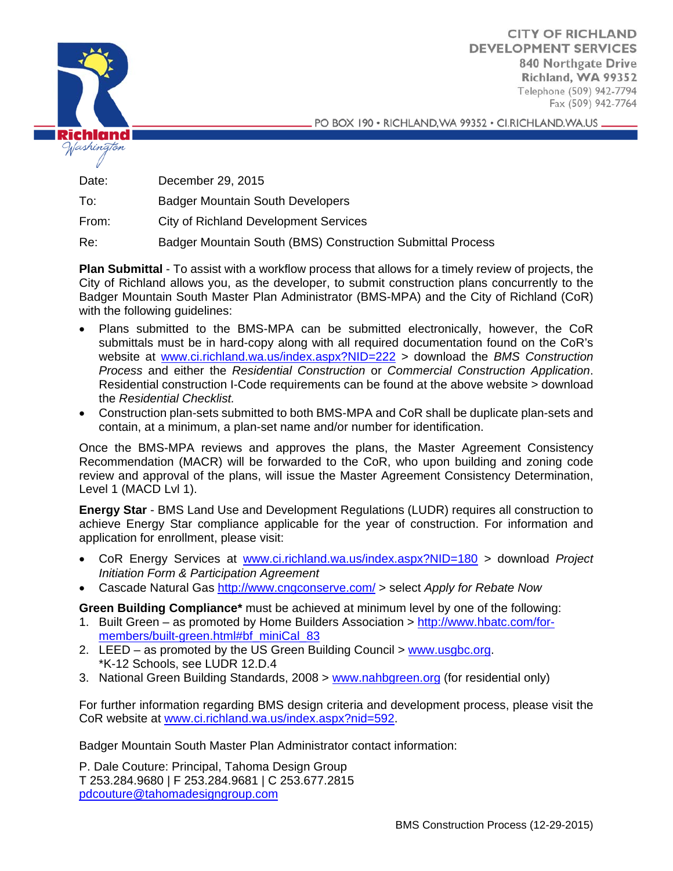

**CITY OF RICHLAND DEVELOPMENT SERVICES 840 Northgate Drive Richland, WA 99352**  Telephone (509) 942-7794 Fax (509) 942-7764

PO BOX 190 · RICHLAND, WA 99352 · CI.RICHLAND. WA.US \_

Date: December 29, 2015

To: Badger Mountain South Developers

From: City of Richland Development Services

Re: Badger Mountain South (BMS) Construction Submittal Process

**Plan Submittal** - To assist with a workflow process that allows for a timely review of projects, the City of Richland allows you, as the developer, to submit construction plans concurrently to the Badger Mountain South Master Plan Administrator (BMS-MPA) and the City of Richland (CoR) with the following guidelines:

- Plans submitted to the BMS-MPA can be submitted electronically, however, the CoR submittals must be in hard-copy along with all required documentation found on the CoR's website at www.ci.richland.wa.us/index.aspx?NID=222 > download the *BMS Construction Process* and either the *Residential Construction* or *Commercial Construction Application*. Residential construction I-Code requirements can be found at the above website > download the *Residential Checklist.*
- Construction plan-sets submitted to both BMS-MPA and CoR shall be duplicate plan-sets and contain, at a minimum, a plan-set name and/or number for identification.

Once the BMS-MPA reviews and approves the plans, the Master Agreement Consistency Recommendation (MACR) will be forwarded to the CoR, who upon building and zoning code review and approval of the plans, will issue the Master Agreement Consistency Determination, Level 1 (MACD Lvl 1).

**Energy Star** - BMS Land Use and Development Regulations (LUDR) requires all construction to achieve Energy Star compliance applicable for the year of construction. For information and application for enrollment, please visit:

- CoR Energy Services at www.ci.richland.wa.us/index.aspx?NID=180 > download *Project Initiation Form & Participation Agreement*
- Cascade Natural Gas http://www.cngconserve.com/ > select *Apply for Rebate Now*

**Green Building Compliance\*** must be achieved at minimum level by one of the following:

- 1. Built Green as promoted by Home Builders Association > http://www.hbatc.com/formembers/built-green.html#bf\_miniCal\_83
- 2. LEED as promoted by the US Green Building Council > www.usgbc.org. \*K-12 Schools, see LUDR 12.D.4
- 3. National Green Building Standards, 2008 > www.nahbgreen.org (for residential only)

For further information regarding BMS design criteria and development process, please visit the CoR website at www.ci.richland.wa.us/index.aspx?nid=592.

Badger Mountain South Master Plan Administrator contact information:

P. Dale Couture: Principal, Tahoma Design Group T 253.284.9680 | F 253.284.9681 | C 253.677.2815 pdcouture@tahomadesigngroup.com